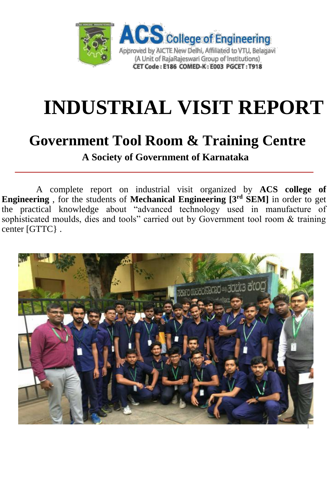

# **INDUSTRIAL VISIT REPORT**

### **Government Tool Room & Training Centre**

**A Society of Government of Karnataka**

A complete report on industrial visit organized by **ACS college of Engineering** , for the students of **Mechanical Engineering [3rd SEM]** in order to get the practical knowledge about "advanced technology used in manufacture of sophisticated moulds, dies and tools" carried out by Government tool room & training center [GTTC} .

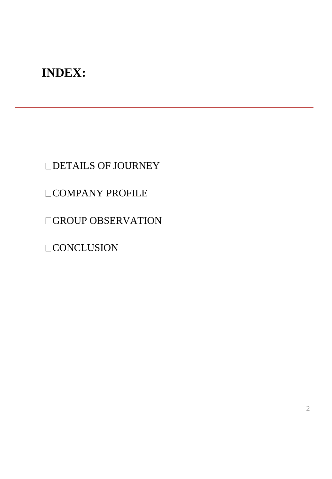#### **INDEX:**

DETAILS OF JOURNEY

#### **COMPANY PROFILE**

**GROUP OBSERVATION** 

 $\Box$ CONCLUSION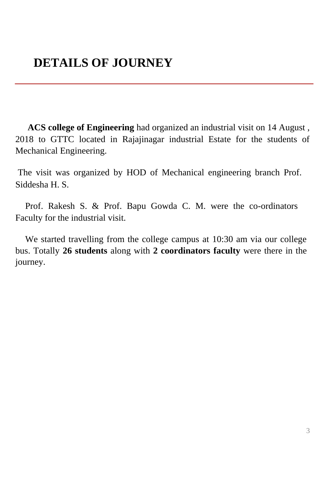#### **DETAILS OF JOURNEY**

**ACS college of Engineering** had organized an industrial visit on 14 August , 2018 to GTTC located in Rajajinagar industrial Estate for the students of Mechanical Engineering.

The visit was organized by HOD of Mechanical engineering branch Prof. Siddesha H. S.

Prof. Rakesh S. & Prof. Bapu Gowda C. M. were the co-ordinators Faculty for the industrial visit.

We started travelling from the college campus at 10:30 am via our college bus. Totally **26 students** along with **2 coordinators faculty** were there in the journey.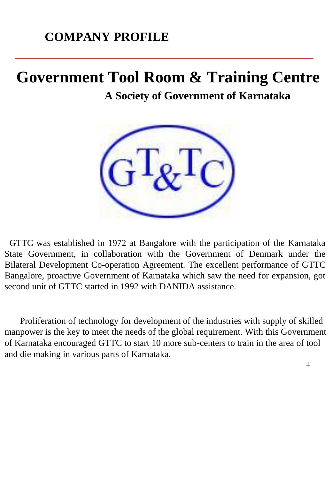#### **COMPANY PROFILE**

### **Government Tool Room & Training Centre**

**A Society of Government of Karnataka**



GTTC was established in 1972 at Bangalore with the participation of the Karnataka State Government, in collaboration with the Government of Denmark under the Bilateral Development Co-operation Agreement. The excellent performance of GTTC Bangalore, proactive Government of Karnataka which saw the need for expansion, got second unit of GTTC started in 1992 with DANIDA assistance.

Proliferation of technology for development of the industries with supply of skilled manpower is the key to meet the needs of the global requirement. With this Government of Karnataka encouraged GTTC to start 10 more sub-centers to train in the area of tool and die making in various parts of Karnataka.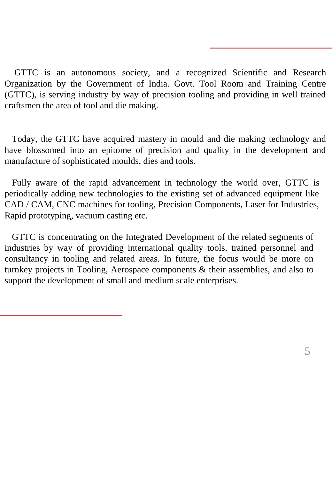GTTC is an autonomous society, and a recognized Scientific and Research Organization by the Government of India. Govt. Tool Room and Training Centre (GTTC), is serving industry by way of precision tooling and providing in well trained craftsmen the area of tool and die making.

Today, the GTTC have acquired mastery in mould and die making technology and have blossomed into an epitome of precision and quality in the development and manufacture of sophisticated moulds, dies and tools.

Fully aware of the rapid advancement in technology the world over, GTTC is periodically adding new technologies to the existing set of advanced equipment like CAD / CAM, CNC machines for tooling, Precision Components, Laser for Industries, Rapid prototyping, vacuum casting etc.

GTTC is concentrating on the Integrated Development of the related segments of industries by way of providing international quality tools, trained personnel and consultancy in tooling and related areas. In future, the focus would be more on turnkey projects in Tooling, Aerospace components & their assemblies, and also to support the development of small and medium scale enterprises.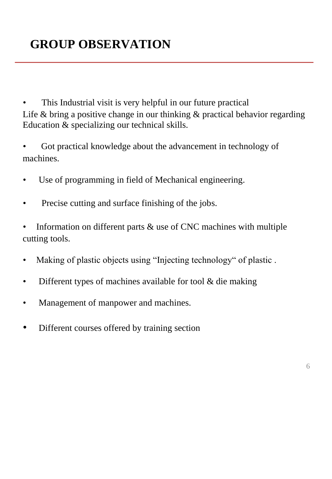This Industrial visit is very helpful in our future practical Life & bring a positive change in our thinking & practical behavior regarding Education & specializing our technical skills.

- Got practical knowledge about the advancement in technology of machines.
- Use of programming in field of Mechanical engineering.
- Precise cutting and surface finishing of the jobs.
- Information on different parts  $\&$  use of CNC machines with multiple cutting tools.
- Making of plastic objects using "Injecting technology" of plastic .
- Different types of machines available for tool  $\&$  die making
- Management of manpower and machines.
- Different courses offered by training section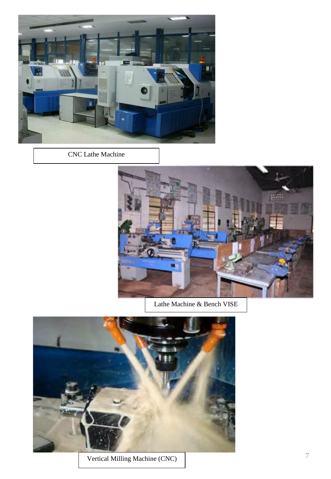

CNC Lathe Machine



Lathe Machine & Bench VISE



Vertical Milling Machine (CNC)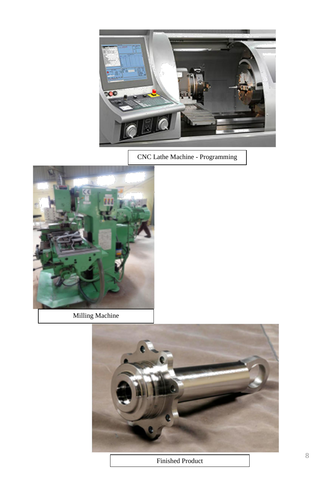

CNC Lathe Machine - Programming



Milling Machine



Finished Product